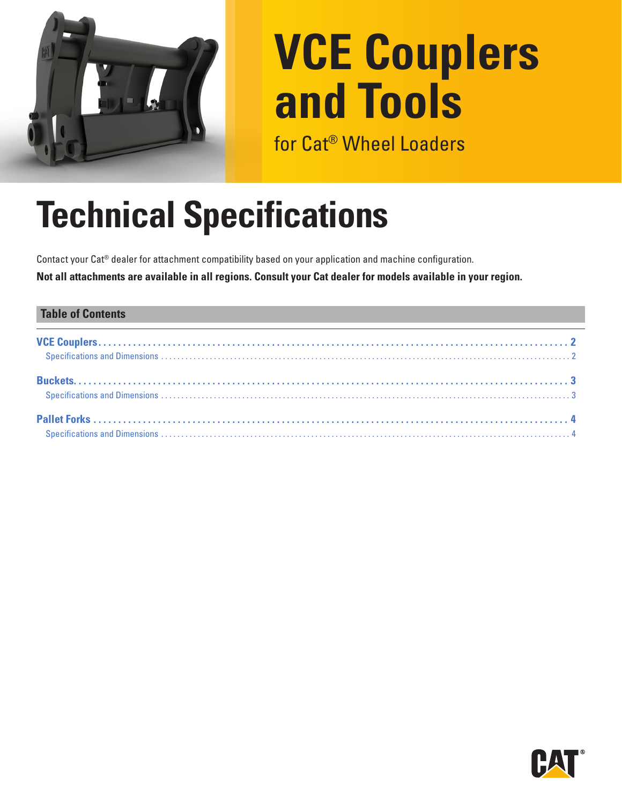

# **VCE Couplers and Tools**

for Cat® Wheel Loaders

# **Technical Specifications**

Contact your Cat® dealer for attachment compatibility based on your application and machine configuration. **Not all attachments are available in all regions. Consult your Cat dealer for models available in your region.**

#### **Table of Contents**

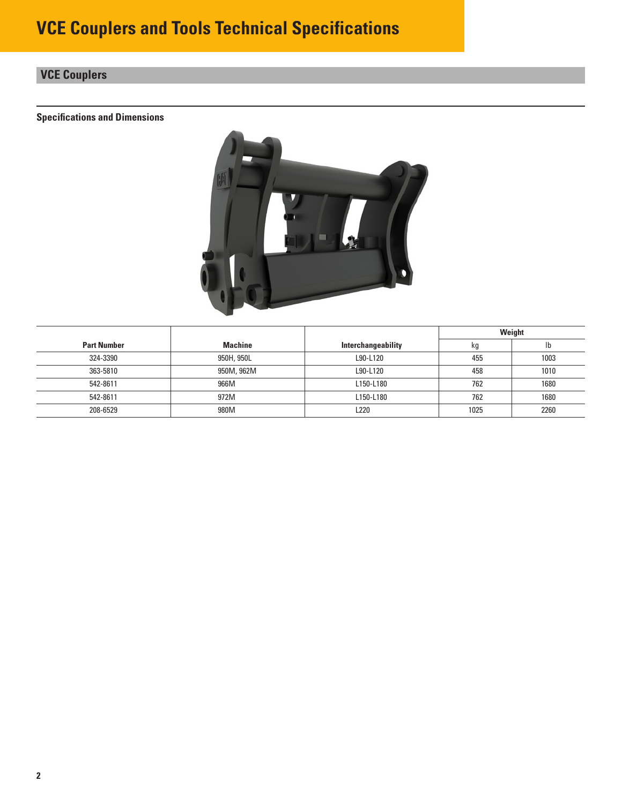### <span id="page-1-0"></span>**VCE Couplers**

#### **Specifications and Dimensions**



|                    |            |                    | Weight |      |  |
|--------------------|------------|--------------------|--------|------|--|
| <b>Part Number</b> | Machine    | Interchangeability | kg     | Ib   |  |
| 324-3390           | 950H, 950L | L90-L120           | 455    | 1003 |  |
| 363-5810           | 950M, 962M | L90-L120           | 458    | 1010 |  |
| 542-8611           | 966M       | L150-L180          | 762    | 1680 |  |
| 542-8611           | 972M       | L150-L180          | 762    | 1680 |  |
| 208-6529           | 980M       | L220               | 1025   | 2260 |  |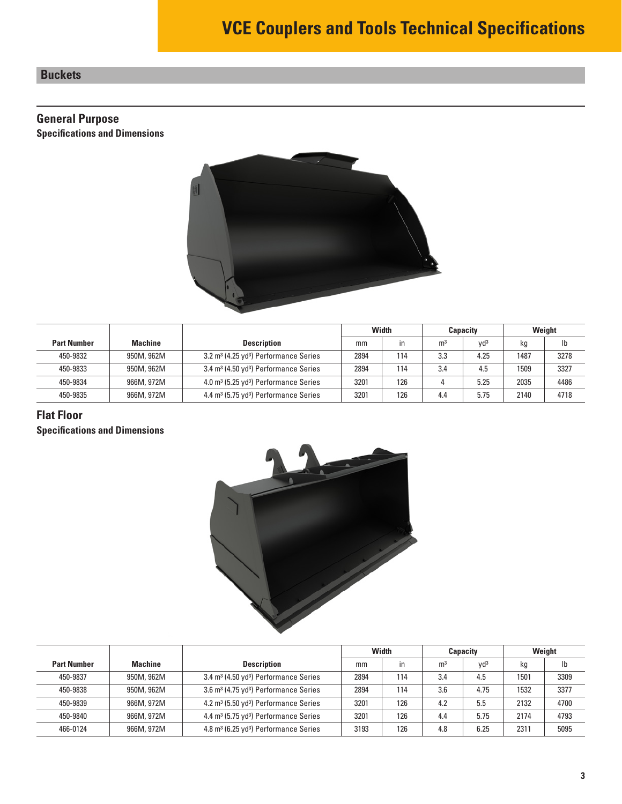#### <span id="page-2-0"></span>**Buckets**

#### **General Purpose**

**Specifications and Dimensions**



|                    |                |                                                               | Width |              | <b>Capacity</b> |                 | Weight |      |
|--------------------|----------------|---------------------------------------------------------------|-------|--------------|-----------------|-----------------|--------|------|
| <b>Part Number</b> | <b>Machine</b> | <b>Description</b>                                            | mm    | $\mathsf{I}$ | m <sup>3</sup>  | Vd <sup>3</sup> | kg     | lb   |
| 450-9832           | 950M, 962M     | 3.2 m <sup>3</sup> (4.25 yd <sup>3</sup> ) Performance Series | 2894  | 114          | 3.3             | 4.25            | 1487   | 3278 |
| 450-9833           | 950M, 962M     | 3.4 m <sup>3</sup> (4.50 yd <sup>3</sup> ) Performance Series | 2894  | 114          | 3.4             | 4.5             | 1509   | 3327 |
| 450-9834           | 966M, 972M     | 4.0 m <sup>3</sup> (5.25 yd <sup>3</sup> ) Performance Series | 3201  | 126          |                 | 5.25            | 2035   | 4486 |
| 450-9835           | 966M, 972M     | 4.4 m <sup>3</sup> (5.75 yd <sup>3</sup> ) Performance Series | 3201  | 126          | 4.4             | 5.75            | 2140   | 4718 |

#### **Flat Floor**

**Specifications and Dimensions**



|                    |                |                                                               | Width |     | <b>Capacity</b> |                 | Weight |      |
|--------------------|----------------|---------------------------------------------------------------|-------|-----|-----------------|-----------------|--------|------|
| <b>Part Number</b> | <b>Machine</b> | <b>Description</b>                                            | mm    | in  | m <sup>3</sup>  | Vd <sup>3</sup> | кg     | Ib   |
| 450-9837           | 950M, 962M     | 3.4 m <sup>3</sup> (4.50 yd <sup>3</sup> ) Performance Series | 2894  | 114 | 3.4             | 4.5             | 1501   | 3309 |
| 450-9838           | 950M, 962M     | 3.6 m <sup>3</sup> (4.75 yd <sup>3</sup> ) Performance Series | 2894  | 114 | 3.6             | 4.75            | 1532   | 3377 |
| 450-9839           | 966M, 972M     | 4.2 m <sup>3</sup> (5.50 yd <sup>3</sup> ) Performance Series | 3201  | 126 | 4.2             | 5.5             | 2132   | 4700 |
| 450-9840           | 966M, 972M     | 4.4 m <sup>3</sup> (5.75 yd <sup>3</sup> ) Performance Series | 3201  | 126 | 4.4             | 5.75            | 2174   | 4793 |
| 466-0124           | 966M, 972M     | 4.8 m <sup>3</sup> (6.25 yd <sup>3</sup> ) Performance Series | 3193  | 126 | 4.8             | 6.25            | 2311   | 5095 |